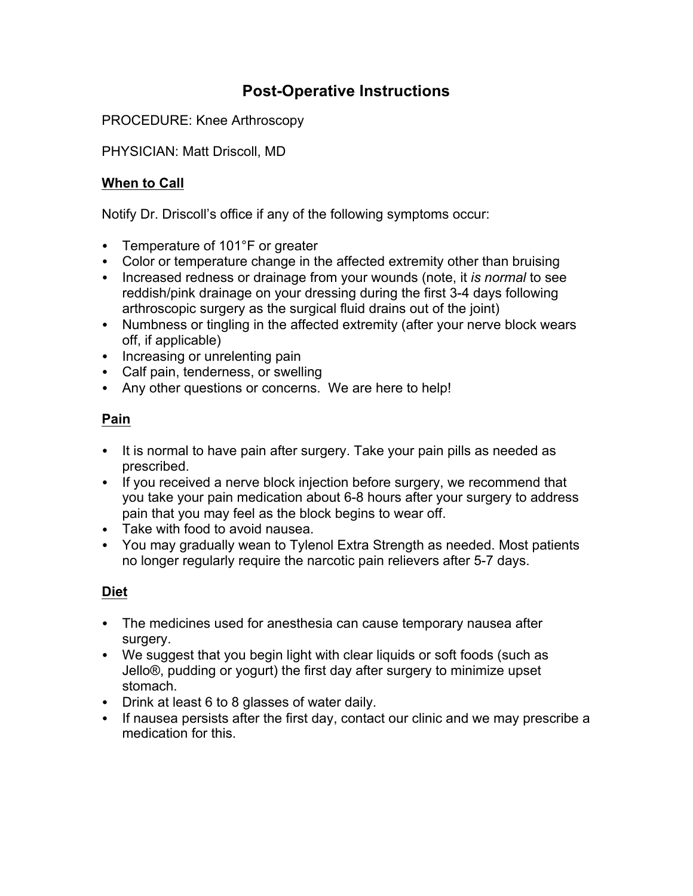# **Post-Operative Instructions**

PROCEDURE: Knee Arthroscopy

PHYSICIAN: Matt Driscoll, MD

# **When to Call**

Notify Dr. Driscoll's office if any of the following symptoms occur:

- Temperature of 101°F or greater
- Color or temperature change in the affected extremity other than bruising
- Increased redness or drainage from your wounds (note, it *is normal* to see reddish/pink drainage on your dressing during the first 3-4 days following arthroscopic surgery as the surgical fluid drains out of the joint)
- Numbness or tingling in the affected extremity (after your nerve block wears off, if applicable)
- Increasing or unrelenting pain
- Calf pain, tenderness, or swelling
- Any other questions or concerns. We are here to help!

# **Pain**

- It is normal to have pain after surgery. Take your pain pills as needed as prescribed.
- If you received a nerve block injection before surgery, we recommend that you take your pain medication about 6-8 hours after your surgery to address pain that you may feel as the block begins to wear off.
- Take with food to avoid nausea.
- You may gradually wean to Tylenol Extra Strength as needed. Most patients no longer regularly require the narcotic pain relievers after 5-7 days.

# **Diet**

- The medicines used for anesthesia can cause temporary nausea after surgery.
- We suggest that you begin light with clear liquids or soft foods (such as Jello®, pudding or yogurt) the first day after surgery to minimize upset stomach.
- Drink at least 6 to 8 glasses of water daily.
- If nausea persists after the first day, contact our clinic and we may prescribe a medication for this.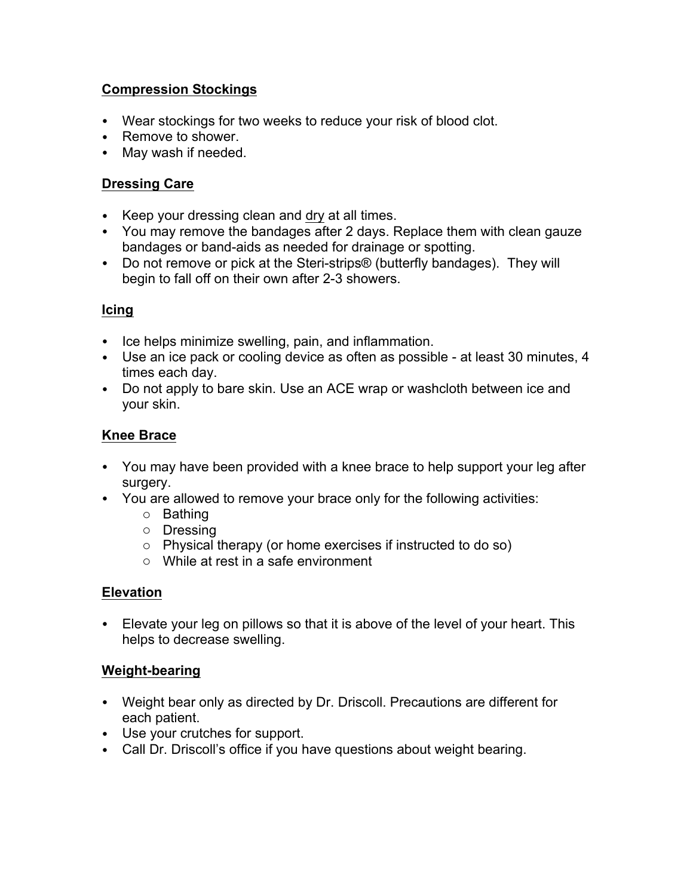#### **Compression Stockings**

- Wear stockings for two weeks to reduce your risk of blood clot.
- Remove to shower.
- May wash if needed.

### **Dressing Care**

- Keep your dressing clean and dry at all times.
- You may remove the bandages after 2 days. Replace them with clean gauze bandages or band-aids as needed for drainage or spotting.
- Do not remove or pick at the Steri-strips® (butterfly bandages). They will begin to fall off on their own after 2-3 showers.

#### **Icing**

- Ice helps minimize swelling, pain, and inflammation.
- Use an ice pack or cooling device as often as possible at least 30 minutes, 4 times each day.
- Do not apply to bare skin. Use an ACE wrap or washcloth between ice and your skin.

#### **Knee Brace**

- You may have been provided with a knee brace to help support your leg after surgery.
- You are allowed to remove your brace only for the following activities:
	- o Bathing
	- o Dressing
	- o Physical therapy (or home exercises if instructed to do so)
	- o While at rest in a safe environment

#### **Elevation**

• Elevate your leg on pillows so that it is above of the level of your heart. This helps to decrease swelling.

#### **Weight-bearing**

- Weight bear only as directed by Dr. Driscoll. Precautions are different for each patient.
- Use your crutches for support.
- Call Dr. Driscoll's office if you have questions about weight bearing.